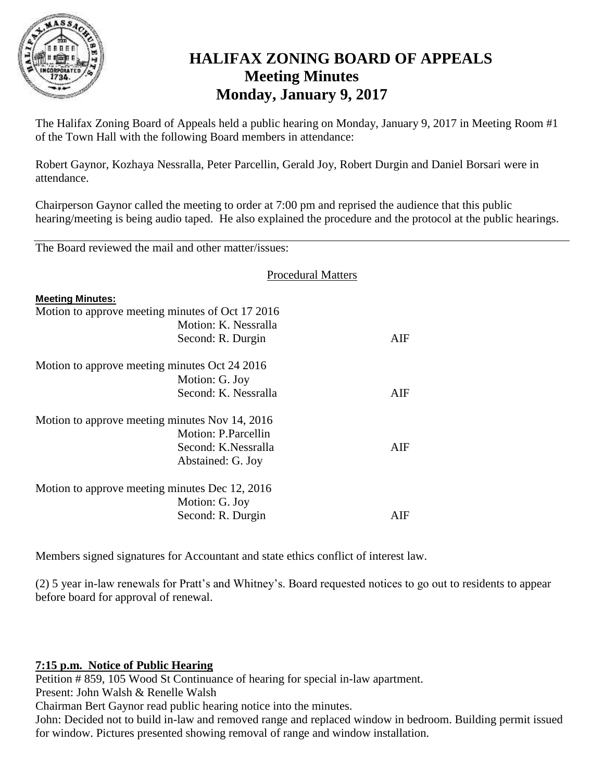

# **HALIFAX ZONING BOARD OF APPEALS Meeting Minutes Monday, January 9, 2017**

The Halifax Zoning Board of Appeals held a public hearing on Monday, January 9, 2017 in Meeting Room #1 of the Town Hall with the following Board members in attendance:

Robert Gaynor, Kozhaya Nessralla, Peter Parcellin, Gerald Joy, Robert Durgin and Daniel Borsari were in attendance.

Chairperson Gaynor called the meeting to order at 7:00 pm and reprised the audience that this public hearing/meeting is being audio taped. He also explained the procedure and the protocol at the public hearings.

The Board reviewed the mail and other matter/issues:

|                         | <b>Procedural Matters</b>                        |            |
|-------------------------|--------------------------------------------------|------------|
| <b>Meeting Minutes:</b> |                                                  |            |
|                         | Motion to approve meeting minutes of Oct 17 2016 |            |
|                         | Motion: K. Nessralla                             |            |
|                         | Second: R. Durgin                                | $\rm{AIF}$ |
|                         | Motion to approve meeting minutes Oct 24 2016    |            |
|                         | Motion: G. Joy                                   |            |
|                         | Second: K. Nessralla                             | AIF        |
|                         | Motion to approve meeting minutes Nov 14, 2016   |            |
|                         | <b>Motion: P.Parcellin</b>                       |            |
|                         | Second: K.Nessralla                              | AIF        |
|                         | Abstained: G. Joy                                |            |
|                         | Motion to approve meeting minutes Dec 12, 2016   |            |
|                         | Motion: G. Joy                                   |            |
|                         | Second: R. Durgin                                | AIF        |

Members signed signatures for Accountant and state ethics conflict of interest law.

(2) 5 year in-law renewals for Pratt's and Whitney's. Board requested notices to go out to residents to appear before board for approval of renewal.

# **7:15 p.m. Notice of Public Hearing**

Petition # 859, 105 Wood St Continuance of hearing for special in-law apartment.

Present: John Walsh & Renelle Walsh

Chairman Bert Gaynor read public hearing notice into the minutes.

John: Decided not to build in-law and removed range and replaced window in bedroom. Building permit issued for window. Pictures presented showing removal of range and window installation.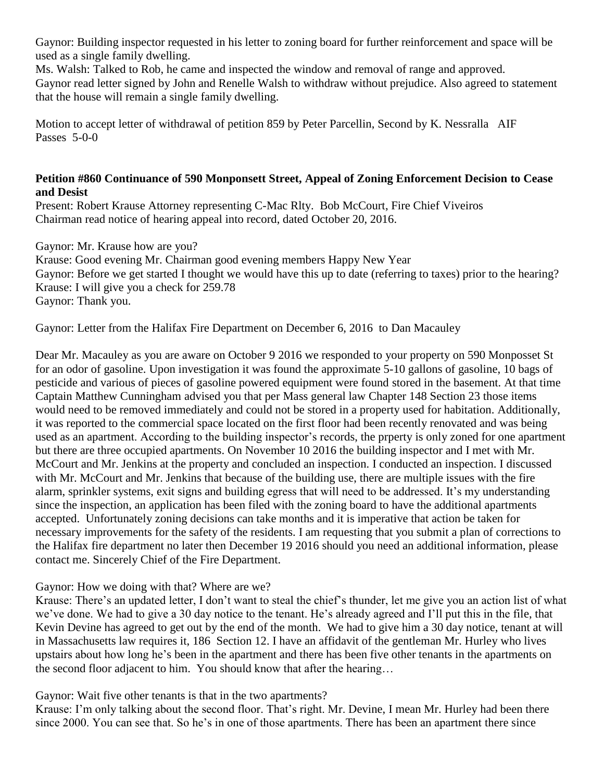Gaynor: Building inspector requested in his letter to zoning board for further reinforcement and space will be used as a single family dwelling.

Ms. Walsh: Talked to Rob, he came and inspected the window and removal of range and approved. Gaynor read letter signed by John and Renelle Walsh to withdraw without prejudice. Also agreed to statement that the house will remain a single family dwelling.

Motion to accept letter of withdrawal of petition 859 by Peter Parcellin, Second by K. Nessralla AIF Passes 5-0-0

# **Petition #860 Continuance of 590 Monponsett Street, Appeal of Zoning Enforcement Decision to Cease and Desist**

Present: Robert Krause Attorney representing C-Mac Rlty. Bob McCourt, Fire Chief Viveiros Chairman read notice of hearing appeal into record, dated October 20, 2016.

Gaynor: Mr. Krause how are you?

Krause: Good evening Mr. Chairman good evening members Happy New Year Gaynor: Before we get started I thought we would have this up to date (referring to taxes) prior to the hearing? Krause: I will give you a check for 259.78 Gaynor: Thank you.

Gaynor: Letter from the Halifax Fire Department on December 6, 2016 to Dan Macauley

Dear Mr. Macauley as you are aware on October 9 2016 we responded to your property on 590 Monposset St for an odor of gasoline. Upon investigation it was found the approximate 5-10 gallons of gasoline, 10 bags of pesticide and various of pieces of gasoline powered equipment were found stored in the basement. At that time Captain Matthew Cunningham advised you that per Mass general law Chapter 148 Section 23 those items would need to be removed immediately and could not be stored in a property used for habitation. Additionally, it was reported to the commercial space located on the first floor had been recently renovated and was being used as an apartment. According to the building inspector's records, the prperty is only zoned for one apartment but there are three occupied apartments. On November 10 2016 the building inspector and I met with Mr. McCourt and Mr. Jenkins at the property and concluded an inspection. I conducted an inspection. I discussed with Mr. McCourt and Mr. Jenkins that because of the building use, there are multiple issues with the fire alarm, sprinkler systems, exit signs and building egress that will need to be addressed. It's my understanding since the inspection, an application has been filed with the zoning board to have the additional apartments accepted. Unfortunately zoning decisions can take months and it is imperative that action be taken for necessary improvements for the safety of the residents. I am requesting that you submit a plan of corrections to the Halifax fire department no later then December 19 2016 should you need an additional information, please contact me. Sincerely Chief of the Fire Department.

# Gaynor: How we doing with that? Where are we?

Krause: There's an updated letter, I don't want to steal the chief's thunder, let me give you an action list of what we've done. We had to give a 30 day notice to the tenant. He's already agreed and I'll put this in the file, that Kevin Devine has agreed to get out by the end of the month. We had to give him a 30 day notice, tenant at will in Massachusetts law requires it, 186 Section 12. I have an affidavit of the gentleman Mr. Hurley who lives upstairs about how long he's been in the apartment and there has been five other tenants in the apartments on the second floor adjacent to him. You should know that after the hearing…

# Gaynor: Wait five other tenants is that in the two apartments?

Krause: I'm only talking about the second floor. That's right. Mr. Devine, I mean Mr. Hurley had been there since 2000. You can see that. So he's in one of those apartments. There has been an apartment there since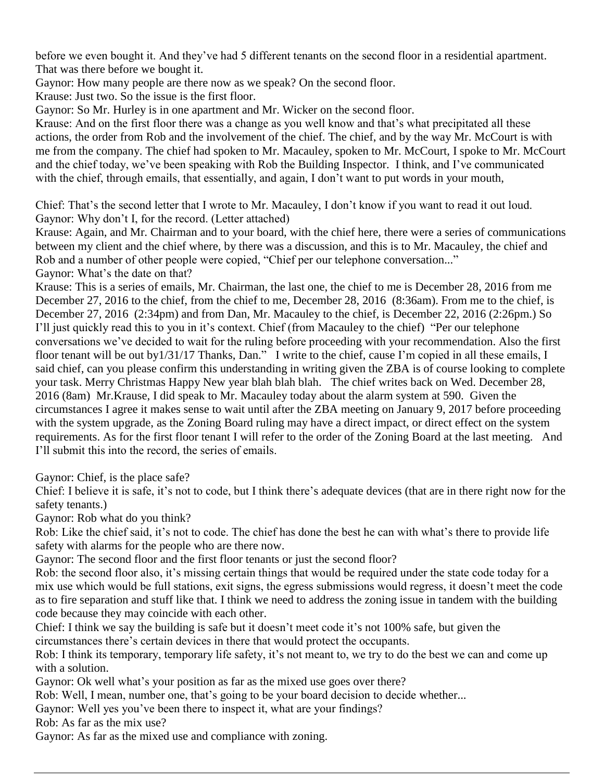before we even bought it. And they've had 5 different tenants on the second floor in a residential apartment. That was there before we bought it.

Gaynor: How many people are there now as we speak? On the second floor.

Krause: Just two. So the issue is the first floor.

Gaynor: So Mr. Hurley is in one apartment and Mr. Wicker on the second floor.

Krause: And on the first floor there was a change as you well know and that's what precipitated all these actions, the order from Rob and the involvement of the chief. The chief, and by the way Mr. McCourt is with me from the company. The chief had spoken to Mr. Macauley, spoken to Mr. McCourt, I spoke to Mr. McCourt and the chief today, we've been speaking with Rob the Building Inspector. I think, and I've communicated with the chief, through emails, that essentially, and again, I don't want to put words in your mouth,

Chief: That's the second letter that I wrote to Mr. Macauley, I don't know if you want to read it out loud. Gaynor: Why don't I, for the record. (Letter attached)

Krause: Again, and Mr. Chairman and to your board, with the chief here, there were a series of communications between my client and the chief where, by there was a discussion, and this is to Mr. Macauley, the chief and Rob and a number of other people were copied, "Chief per our telephone conversation..." Gaynor: What's the date on that?

Krause: This is a series of emails, Mr. Chairman, the last one, the chief to me is December 28, 2016 from me December 27, 2016 to the chief, from the chief to me, December 28, 2016 (8:36am). From me to the chief, is December 27, 2016 (2:34pm) and from Dan, Mr. Macauley to the chief, is December 22, 2016 (2:26pm.) So I'll just quickly read this to you in it's context. Chief (from Macauley to the chief) "Per our telephone conversations we've decided to wait for the ruling before proceeding with your recommendation. Also the first floor tenant will be out by1/31/17 Thanks, Dan." I write to the chief, cause I'm copied in all these emails, I said chief, can you please confirm this understanding in writing given the ZBA is of course looking to complete your task. Merry Christmas Happy New year blah blah blah. The chief writes back on Wed. December 28, 2016 (8am) Mr.Krause, I did speak to Mr. Macauley today about the alarm system at 590. Given the circumstances I agree it makes sense to wait until after the ZBA meeting on January 9, 2017 before proceeding with the system upgrade, as the Zoning Board ruling may have a direct impact, or direct effect on the system requirements. As for the first floor tenant I will refer to the order of the Zoning Board at the last meeting. And I'll submit this into the record, the series of emails.

Gaynor: Chief, is the place safe?

Chief: I believe it is safe, it's not to code, but I think there's adequate devices (that are in there right now for the safety tenants.)

Gaynor: Rob what do you think?

Rob: Like the chief said, it's not to code. The chief has done the best he can with what's there to provide life safety with alarms for the people who are there now.

Gaynor: The second floor and the first floor tenants or just the second floor?

Rob: the second floor also, it's missing certain things that would be required under the state code today for a mix use which would be full stations, exit signs, the egress submissions would regress, it doesn't meet the code as to fire separation and stuff like that. I think we need to address the zoning issue in tandem with the building code because they may coincide with each other.

Chief: I think we say the building is safe but it doesn't meet code it's not 100% safe, but given the circumstances there's certain devices in there that would protect the occupants.

Rob: I think its temporary, temporary life safety, it's not meant to, we try to do the best we can and come up with a solution.

Gaynor: Ok well what's your position as far as the mixed use goes over there?

Rob: Well, I mean, number one, that's going to be your board decision to decide whether...

Gaynor: Well yes you've been there to inspect it, what are your findings?

Rob: As far as the mix use?

Gaynor: As far as the mixed use and compliance with zoning.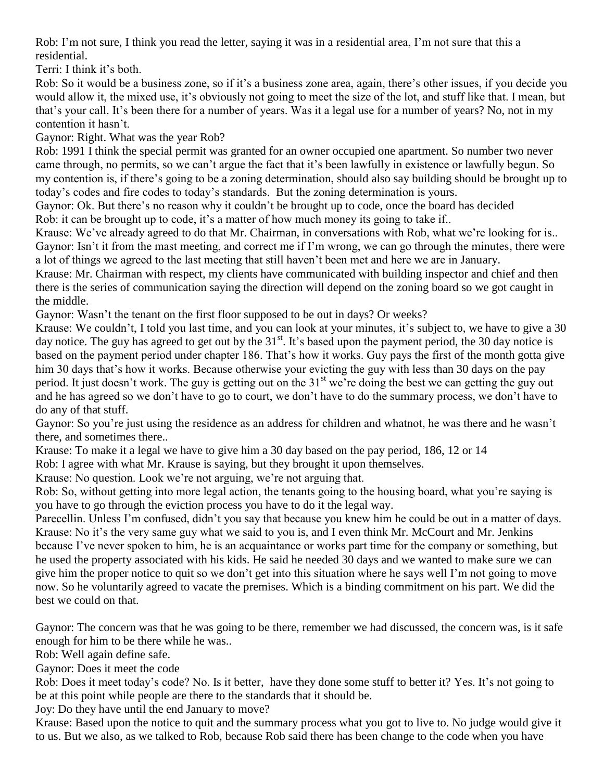Rob: I'm not sure, I think you read the letter, saying it was in a residential area, I'm not sure that this a residential.

Terri: I think it's both.

Rob: So it would be a business zone, so if it's a business zone area, again, there's other issues, if you decide you would allow it, the mixed use, it's obviously not going to meet the size of the lot, and stuff like that. I mean, but that's your call. It's been there for a number of years. Was it a legal use for a number of years? No, not in my contention it hasn't.

Gaynor: Right. What was the year Rob?

Rob: 1991 I think the special permit was granted for an owner occupied one apartment. So number two never came through, no permits, so we can't argue the fact that it's been lawfully in existence or lawfully begun. So my contention is, if there's going to be a zoning determination, should also say building should be brought up to today's codes and fire codes to today's standards. But the zoning determination is yours.

Gaynor: Ok. But there's no reason why it couldn't be brought up to code, once the board has decided Rob: it can be brought up to code, it's a matter of how much money its going to take if..

Krause: We've already agreed to do that Mr. Chairman, in conversations with Rob, what we're looking for is.. Gaynor: Isn't it from the mast meeting, and correct me if I'm wrong, we can go through the minutes, there were a lot of things we agreed to the last meeting that still haven't been met and here we are in January.

Krause: Mr. Chairman with respect, my clients have communicated with building inspector and chief and then there is the series of communication saying the direction will depend on the zoning board so we got caught in the middle.

Gaynor: Wasn't the tenant on the first floor supposed to be out in days? Or weeks?

Krause: We couldn't, I told you last time, and you can look at your minutes, it's subject to, we have to give a 30 day notice. The guy has agreed to get out by the 31<sup>st</sup>. It's based upon the payment period, the 30 day notice is based on the payment period under chapter 186. That's how it works. Guy pays the first of the month gotta give him 30 days that's how it works. Because otherwise your evicting the guy with less than 30 days on the pay period. It just doesn't work. The guy is getting out on the 31<sup>st</sup> we're doing the best we can getting the guy out and he has agreed so we don't have to go to court, we don't have to do the summary process, we don't have to do any of that stuff.

Gaynor: So you're just using the residence as an address for children and whatnot, he was there and he wasn't there, and sometimes there..

Krause: To make it a legal we have to give him a 30 day based on the pay period, 186, 12 or 14

Rob: I agree with what Mr. Krause is saying, but they brought it upon themselves.

Krause: No question. Look we're not arguing, we're not arguing that.

Rob: So, without getting into more legal action, the tenants going to the housing board, what you're saying is you have to go through the eviction process you have to do it the legal way.

Parecellin. Unless I'm confused, didn't you say that because you knew him he could be out in a matter of days. Krause: No it's the very same guy what we said to you is, and I even think Mr. McCourt and Mr. Jenkins because I've never spoken to him, he is an acquaintance or works part time for the company or something, but he used the property associated with his kids. He said he needed 30 days and we wanted to make sure we can give him the proper notice to quit so we don't get into this situation where he says well I'm not going to move now. So he voluntarily agreed to vacate the premises. Which is a binding commitment on his part. We did the best we could on that.

Gaynor: The concern was that he was going to be there, remember we had discussed, the concern was, is it safe enough for him to be there while he was..

Rob: Well again define safe.

Gaynor: Does it meet the code

Rob: Does it meet today's code? No. Is it better, have they done some stuff to better it? Yes. It's not going to be at this point while people are there to the standards that it should be.

Joy: Do they have until the end January to move?

Krause: Based upon the notice to quit and the summary process what you got to live to. No judge would give it to us. But we also, as we talked to Rob, because Rob said there has been change to the code when you have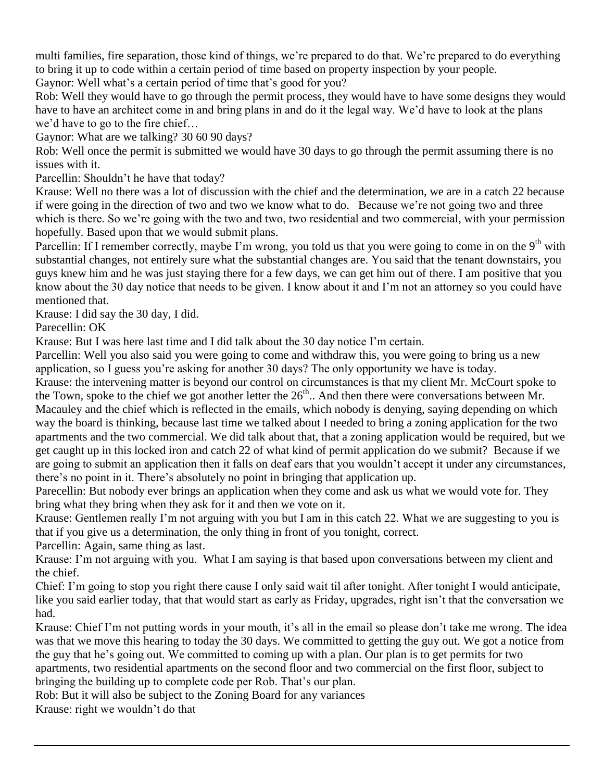multi families, fire separation, those kind of things, we're prepared to do that. We're prepared to do everything to bring it up to code within a certain period of time based on property inspection by your people. Gaynor: Well what's a certain period of time that's good for you?

Rob: Well they would have to go through the permit process, they would have to have some designs they would have to have an architect come in and bring plans in and do it the legal way. We'd have to look at the plans we'd have to go to the fire chief…

Gaynor: What are we talking? 30 60 90 days?

Rob: Well once the permit is submitted we would have 30 days to go through the permit assuming there is no issues with it.

Parcellin: Shouldn't he have that today?

Krause: Well no there was a lot of discussion with the chief and the determination, we are in a catch 22 because if were going in the direction of two and two we know what to do. Because we're not going two and three which is there. So we're going with the two and two, two residential and two commercial, with your permission hopefully. Based upon that we would submit plans.

Parcellin: If I remember correctly, maybe I'm wrong, you told us that you were going to come in on the  $9<sup>th</sup>$  with substantial changes, not entirely sure what the substantial changes are. You said that the tenant downstairs, you guys knew him and he was just staying there for a few days, we can get him out of there. I am positive that you know about the 30 day notice that needs to be given. I know about it and I'm not an attorney so you could have mentioned that.

Krause: I did say the 30 day, I did.

Parecellin: OK

Krause: But I was here last time and I did talk about the 30 day notice I'm certain.

Parcellin: Well you also said you were going to come and withdraw this, you were going to bring us a new application, so I guess you're asking for another 30 days? The only opportunity we have is today.

Krause: the intervening matter is beyond our control on circumstances is that my client Mr. McCourt spoke to the Town, spoke to the chief we got another letter the  $26<sup>th</sup>$ .. And then there were conversations between Mr. Macauley and the chief which is reflected in the emails, which nobody is denying, saying depending on which way the board is thinking, because last time we talked about I needed to bring a zoning application for the two apartments and the two commercial. We did talk about that, that a zoning application would be required, but we get caught up in this locked iron and catch 22 of what kind of permit application do we submit? Because if we are going to submit an application then it falls on deaf ears that you wouldn't accept it under any circumstances, there's no point in it. There's absolutely no point in bringing that application up.

Parecellin: But nobody ever brings an application when they come and ask us what we would vote for. They bring what they bring when they ask for it and then we vote on it.

Krause: Gentlemen really I'm not arguing with you but I am in this catch 22. What we are suggesting to you is that if you give us a determination, the only thing in front of you tonight, correct.

Parcellin: Again, same thing as last.

Krause: I'm not arguing with you. What I am saying is that based upon conversations between my client and the chief.

Chief: I'm going to stop you right there cause I only said wait til after tonight. After tonight I would anticipate, like you said earlier today, that that would start as early as Friday, upgrades, right isn't that the conversation we had.

Krause: Chief I'm not putting words in your mouth, it's all in the email so please don't take me wrong. The idea was that we move this hearing to today the 30 days. We committed to getting the guy out. We got a notice from the guy that he's going out. We committed to coming up with a plan. Our plan is to get permits for two apartments, two residential apartments on the second floor and two commercial on the first floor, subject to bringing the building up to complete code per Rob. That's our plan.

Rob: But it will also be subject to the Zoning Board for any variances

Krause: right we wouldn't do that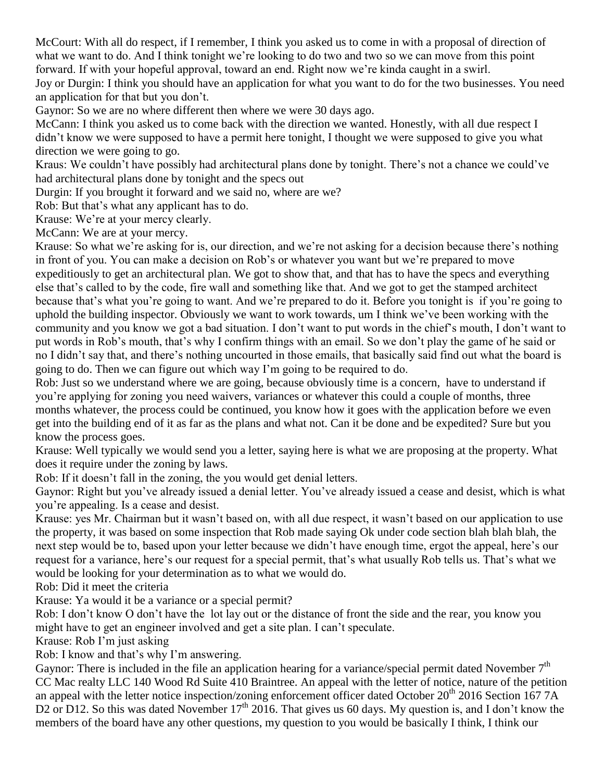McCourt: With all do respect, if I remember, I think you asked us to come in with a proposal of direction of what we want to do. And I think tonight we're looking to do two and two so we can move from this point forward. If with your hopeful approval, toward an end. Right now we're kinda caught in a swirl.

Joy or Durgin: I think you should have an application for what you want to do for the two businesses. You need an application for that but you don't.

Gaynor: So we are no where different then where we were 30 days ago.

McCann: I think you asked us to come back with the direction we wanted. Honestly, with all due respect I didn't know we were supposed to have a permit here tonight, I thought we were supposed to give you what direction we were going to go.

Kraus: We couldn't have possibly had architectural plans done by tonight. There's not a chance we could've had architectural plans done by tonight and the specs out

Durgin: If you brought it forward and we said no, where are we?

Rob: But that's what any applicant has to do.

Krause: We're at your mercy clearly.

McCann: We are at your mercy.

Krause: So what we're asking for is, our direction, and we're not asking for a decision because there's nothing in front of you. You can make a decision on Rob's or whatever you want but we're prepared to move expeditiously to get an architectural plan. We got to show that, and that has to have the specs and everything else that's called to by the code, fire wall and something like that. And we got to get the stamped architect because that's what you're going to want. And we're prepared to do it. Before you tonight is if you're going to uphold the building inspector. Obviously we want to work towards, um I think we've been working with the community and you know we got a bad situation. I don't want to put words in the chief's mouth, I don't want to put words in Rob's mouth, that's why I confirm things with an email. So we don't play the game of he said or no I didn't say that, and there's nothing uncourted in those emails, that basically said find out what the board is going to do. Then we can figure out which way I'm going to be required to do.

Rob: Just so we understand where we are going, because obviously time is a concern, have to understand if you're applying for zoning you need waivers, variances or whatever this could a couple of months, three months whatever, the process could be continued, you know how it goes with the application before we even get into the building end of it as far as the plans and what not. Can it be done and be expedited? Sure but you know the process goes.

Krause: Well typically we would send you a letter, saying here is what we are proposing at the property. What does it require under the zoning by laws.

Rob: If it doesn't fall in the zoning, the you would get denial letters.

Gaynor: Right but you've already issued a denial letter. You've already issued a cease and desist, which is what you're appealing. Is a cease and desist.

Krause: yes Mr. Chairman but it wasn't based on, with all due respect, it wasn't based on our application to use the property, it was based on some inspection that Rob made saying Ok under code section blah blah blah, the next step would be to, based upon your letter because we didn't have enough time, ergot the appeal, here's our request for a variance, here's our request for a special permit, that's what usually Rob tells us. That's what we would be looking for your determination as to what we would do.

Rob: Did it meet the criteria

Krause: Ya would it be a variance or a special permit?

Rob: I don't know O don't have the lot lay out or the distance of front the side and the rear, you know you might have to get an engineer involved and get a site plan. I can't speculate.

Krause: Rob I'm just asking

Rob: I know and that's why I'm answering.

Gaynor: There is included in the file an application hearing for a variance/special permit dated November  $7<sup>th</sup>$ CC Mac realty LLC 140 Wood Rd Suite 410 Braintree. An appeal with the letter of notice, nature of the petition an appeal with the letter notice inspection/zoning enforcement officer dated October 20<sup>th</sup> 2016 Section 167 7A D2 or D12. So this was dated November  $17<sup>th</sup>$  2016. That gives us 60 days. My question is, and I don't know the members of the board have any other questions, my question to you would be basically I think, I think our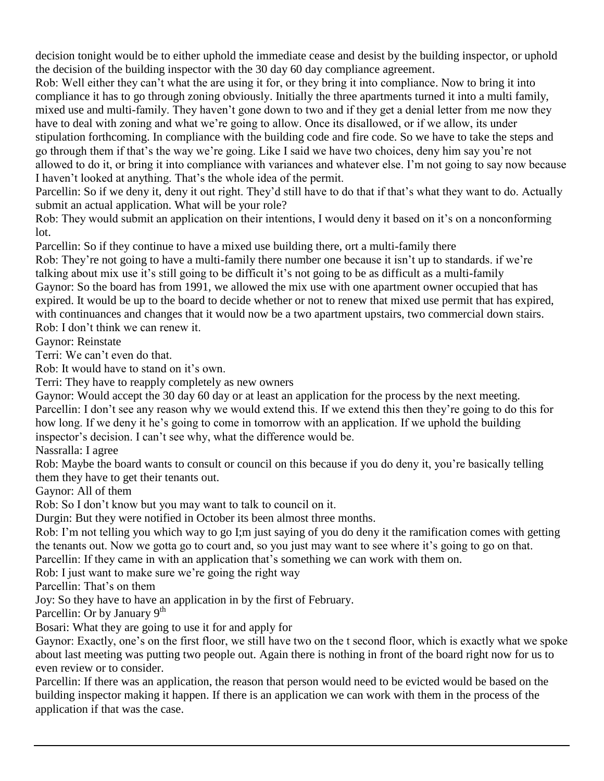decision tonight would be to either uphold the immediate cease and desist by the building inspector, or uphold the decision of the building inspector with the 30 day 60 day compliance agreement.

Rob: Well either they can't what the are using it for, or they bring it into compliance. Now to bring it into compliance it has to go through zoning obviously. Initially the three apartments turned it into a multi family, mixed use and multi-family. They haven't gone down to two and if they get a denial letter from me now they have to deal with zoning and what we're going to allow. Once its disallowed, or if we allow, its under stipulation forthcoming. In compliance with the building code and fire code. So we have to take the steps and go through them if that's the way we're going. Like I said we have two choices, deny him say you're not allowed to do it, or bring it into compliance with variances and whatever else. I'm not going to say now because I haven't looked at anything. That's the whole idea of the permit.

Parcellin: So if we deny it, deny it out right. They'd still have to do that if that's what they want to do. Actually submit an actual application. What will be your role?

Rob: They would submit an application on their intentions, I would deny it based on it's on a nonconforming lot.

Parcellin: So if they continue to have a mixed use building there, ort a multi-family there

Rob: They're not going to have a multi-family there number one because it isn't up to standards. if we're talking about mix use it's still going to be difficult it's not going to be as difficult as a multi-family Gaynor: So the board has from 1991, we allowed the mix use with one apartment owner occupied that has expired. It would be up to the board to decide whether or not to renew that mixed use permit that has expired, with continuances and changes that it would now be a two apartment upstairs, two commercial down stairs. Rob: I don't think we can renew it.

Gaynor: Reinstate

Terri: We can't even do that.

Rob: It would have to stand on it's own.

Terri: They have to reapply completely as new owners

Gaynor: Would accept the 30 day 60 day or at least an application for the process by the next meeting. Parcellin: I don't see any reason why we would extend this. If we extend this then they're going to do this for how long. If we deny it he's going to come in tomorrow with an application. If we uphold the building inspector's decision. I can't see why, what the difference would be.

Nassralla: I agree

Rob: Maybe the board wants to consult or council on this because if you do deny it, you're basically telling them they have to get their tenants out.

Gaynor: All of them

Rob: So I don't know but you may want to talk to council on it.

Durgin: But they were notified in October its been almost three months.

Rob: I'm not telling you which way to go I;m just saying of you do deny it the ramification comes with getting the tenants out. Now we gotta go to court and, so you just may want to see where it's going to go on that. Parcellin: If they came in with an application that's something we can work with them on.

Rob: I just want to make sure we're going the right way

Parcellin: That's on them

Joy: So they have to have an application in by the first of February.

Parcellin: Or by January  $9<sup>th</sup>$ 

Bosari: What they are going to use it for and apply for

Gaynor: Exactly, one's on the first floor, we still have two on the t second floor, which is exactly what we spoke about last meeting was putting two people out. Again there is nothing in front of the board right now for us to even review or to consider.

Parcellin: If there was an application, the reason that person would need to be evicted would be based on the building inspector making it happen. If there is an application we can work with them in the process of the application if that was the case.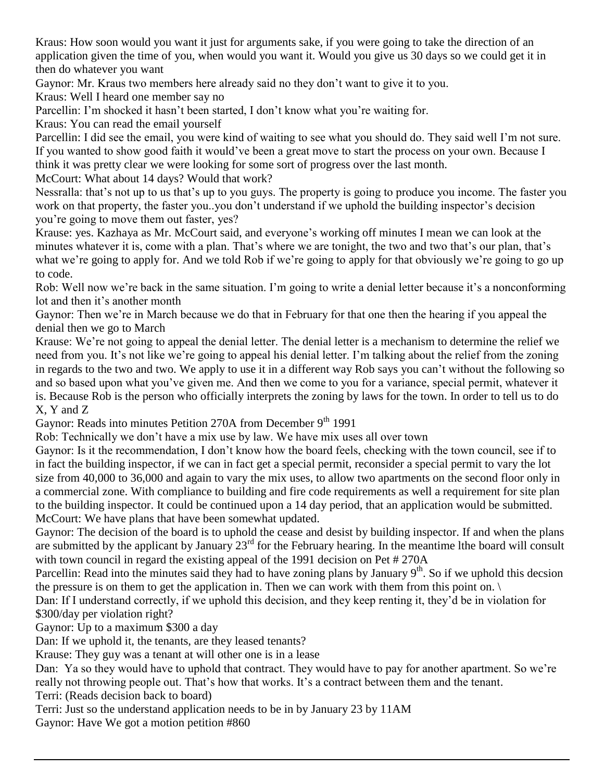Kraus: How soon would you want it just for arguments sake, if you were going to take the direction of an application given the time of you, when would you want it. Would you give us 30 days so we could get it in then do whatever you want

Gaynor: Mr. Kraus two members here already said no they don't want to give it to you.

Kraus: Well I heard one member say no

Parcellin: I'm shocked it hasn't been started, I don't know what you're waiting for.

Kraus: You can read the email yourself

Parcellin: I did see the email, you were kind of waiting to see what you should do. They said well I'm not sure. If you wanted to show good faith it would've been a great move to start the process on your own. Because I think it was pretty clear we were looking for some sort of progress over the last month.

McCourt: What about 14 days? Would that work?

Nessralla: that's not up to us that's up to you guys. The property is going to produce you income. The faster you work on that property, the faster you..you don't understand if we uphold the building inspector's decision you're going to move them out faster, yes?

Krause: yes. Kazhaya as Mr. McCourt said, and everyone's working off minutes I mean we can look at the minutes whatever it is, come with a plan. That's where we are tonight, the two and two that's our plan, that's what we're going to apply for. And we told Rob if we're going to apply for that obviously we're going to go up to code.

Rob: Well now we're back in the same situation. I'm going to write a denial letter because it's a nonconforming lot and then it's another month

Gaynor: Then we're in March because we do that in February for that one then the hearing if you appeal the denial then we go to March

Krause: We're not going to appeal the denial letter. The denial letter is a mechanism to determine the relief we need from you. It's not like we're going to appeal his denial letter. I'm talking about the relief from the zoning in regards to the two and two. We apply to use it in a different way Rob says you can't without the following so and so based upon what you've given me. And then we come to you for a variance, special permit, whatever it is. Because Rob is the person who officially interprets the zoning by laws for the town. In order to tell us to do X, Y and Z

Gaynor: Reads into minutes Petition 270A from December 9<sup>th</sup> 1991

Rob: Technically we don't have a mix use by law. We have mix uses all over town

Gaynor: Is it the recommendation, I don't know how the board feels, checking with the town council, see if to in fact the building inspector, if we can in fact get a special permit, reconsider a special permit to vary the lot size from 40,000 to 36,000 and again to vary the mix uses, to allow two apartments on the second floor only in a commercial zone. With compliance to building and fire code requirements as well a requirement for site plan to the building inspector. It could be continued upon a 14 day period, that an application would be submitted. McCourt: We have plans that have been somewhat updated.

Gaynor: The decision of the board is to uphold the cease and desist by building inspector. If and when the plans are submitted by the applicant by January  $23<sup>rd</sup>$  for the February hearing. In the meantime lthe board will consult with town council in regard the existing appeal of the 1991 decision on Pet #270A

Parcellin: Read into the minutes said they had to have zoning plans by January  $9<sup>th</sup>$ . So if we uphold this decsion the pressure is on them to get the application in. Then we can work with them from this point on.

Dan: If I understand correctly, if we uphold this decision, and they keep renting it, they'd be in violation for \$300/day per violation right?

Gaynor: Up to a maximum \$300 a day

Dan: If we uphold it, the tenants, are they leased tenants?

Krause: They guy was a tenant at will other one is in a lease

Dan: Ya so they would have to uphold that contract. They would have to pay for another apartment. So we're really not throwing people out. That's how that works. It's a contract between them and the tenant.

Terri: (Reads decision back to board)

Terri: Just so the understand application needs to be in by January 23 by 11AM

Gaynor: Have We got a motion petition #860